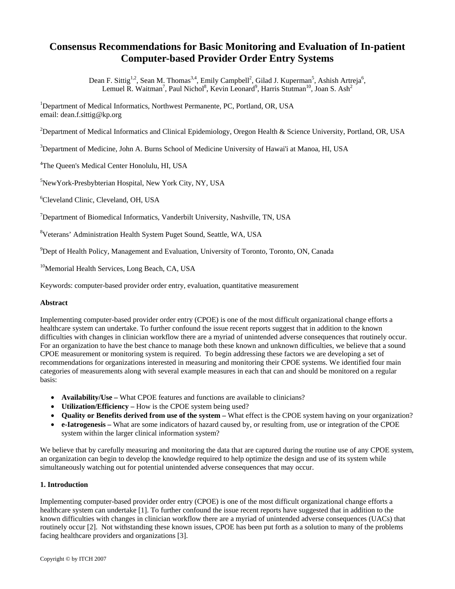# **Consensus Recommendations for Basic Monitoring and Evaluation of In-patient Computer-based Provider Order Entry Systems**

Dean F. Sittig<sup>1,2</sup>, Sean M. Thomas<sup>3,4</sup>, Emily Campbell<sup>2</sup>, Gilad J. Kuperman<sup>5</sup>, Ashish Artreja<sup>6</sup>, Lemuel R. Waitman<sup>7</sup>, Paul Nichol<sup>8</sup>, Kevin Leonard<sup>9</sup>, Harris Stutman<sup>10</sup>, Joan S. Ash<sup>2</sup>

<sup>1</sup>Department of Medical Informatics, Northwest Permanente, PC, Portland, OR, USA email: dean.f.sittig@kp.org

<sup>2</sup>Department of Medical Informatics and Clinical Epidemiology, Oregon Health & Science University, Portland, OR, USA

<sup>3</sup>Department of Medicine, John A. Burns School of Medicine University of Hawai'i at Manoa, HI, USA

4 The Queen's Medical Center Honolulu, HI, USA

5 NewYork-Presbybterian Hospital, New York City, NY, USA

6 Cleveland Clinic, Cleveland, OH, USA

<sup>7</sup>Department of Biomedical Informatics, Vanderbilt University, Nashville, TN, USA

<sup>8</sup>Veterans' Administration Health System Puget Sound, Seattle, WA, USA

<sup>9</sup>Dept of Health Policy, Management and Evaluation, University of Toronto, Toronto, ON, Canada

<sup>10</sup>Memorial Health Services, Long Beach, CA, USA

Keywords: computer-based provider order entry, evaluation, quantitative measurement

#### **Abstract**

Implementing computer-based provider order entry (CPOE) is one of the most difficult organizational change efforts a healthcare system can undertake. To further confound the issue recent reports suggest that in addition to the known difficulties with changes in clinician workflow there are a myriad of unintended adverse consequences that routinely occur. For an organization to have the best chance to manage both these known and unknown difficulties, we believe that a sound CPOE measurement or monitoring system is required. To begin addressing these factors we are developing a set of recommendations for organizations interested in measuring and monitoring their CPOE systems. We identified four main categories of measurements along with several example measures in each that can and should be monitored on a regular basis:

- **Availability/Use** What CPOE features and functions are available to clinicians?
- **Utilization/Efficiency** How is the CPOE system being used?
- **Quality or Benefits derived from use of the system** What effect is the CPOE system having on your organization?
- **e-Iatrogenesis** What are some indicators of hazard caused by, or resulting from, use or integration of the CPOE system within the larger clinical information system?

We believe that by carefully measuring and monitoring the data that are captured during the routine use of any CPOE system, an organization can begin to develop the knowledge required to help optimize the design and use of its system while simultaneously watching out for potential unintended adverse consequences that may occur.

## **1. Introduction**

Implementing computer-based provider order entry (CPOE) is one of the most difficult organizational change efforts a healthcare system can undertake [1]. To further confound the issue recent reports have suggested that in addition to the known difficulties with changes in clinician workflow there are a myriad of unintended adverse consequences (UACs) that routinely occur [2]. Not withstanding these known issues, CPOE has been put forth as a solution to many of the problems facing healthcare providers and organizations [3].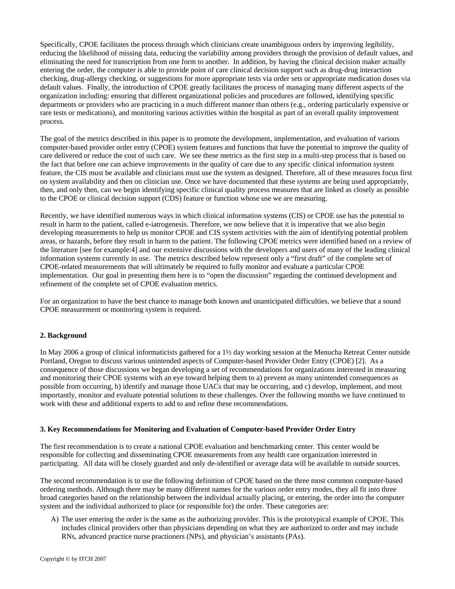Specifically, CPOE facilitates the process through which clinicians create unambiguous orders by improving legibility, reducing the likelihood of missing data, reducing the variability among providers through the provision of default values, and eliminating the need for transcription from one form to another. In addition, by having the clinical decision maker actually entering the order, the computer is able to provide point of care clinical decision support such as drug-drug interaction checking, drug-allergy checking, or suggestions for more appropriate tests via order sets or appropriate medication doses via default values. Finally, the introduction of CPOE greatly facilitates the process of managing many different aspects of the organization including: ensuring that different organizational policies and procedures are followed, identifying specific departments or providers who are practicing in a much different manner than others (e.g., ordering particularly expensive or rare tests or medications), and monitoring various activities within the hospital as part of an overall quality improvement process.

The goal of the metrics described in this paper is to promote the development, implementation, and evaluation of various computer-based provider order entry (CPOE) system features and functions that have the potential to improve the quality of care delivered or reduce the cost of such care. We see these metrics as the first step in a multi-step process that is based on the fact that before one can achieve improvements in the quality of care due to any specific clinical information system feature, the CIS must be available and clinicians must use the system as designed. Therefore, all of these measures focus first on system availability and then on clinician use. Once we have documented that these systems are being used appropriately, then, and only then, can we begin identifying specific clinical quality process measures that are linked as closely as possible to the CPOE or clinical decision support (CDS) feature or function whose use we are measuring.

Recently, we have identified numerous ways in which clinical information systems (CIS) or CPOE use has the potential to result in harm to the patient, called e-iatrogenesis. Therefore, we now believe that it is imperative that we also begin developing measurements to help us monitor CPOE and CIS system activities with the aim of identifying potential problem areas, or hazards, before they result in harm to the patient. The following CPOE metrics were identified based on a review of the literature [see for example:4] and our extensive discussions with the developers and users of many of the leading clinical information systems currently in use. The metrics described below represent only a "first draft" of the complete set of CPOE-related measurements that will ultimately be required to fully monitor and evaluate a particular CPOE implementation. Our goal in presenting them here is to "open the discussion" regarding the continued development and refinement of the complete set of CPOE evaluation metrics.

For an organization to have the best chance to manage both known and unanticipated difficulties, we believe that a sound CPOE measurement or monitoring system is required.

## **2. Background**

In May 2006 a group of clinical informaticists gathered for a 1½ day working session at the Menucha Retreat Center outside Portland, Oregon to discuss various unintended aspects of Computer-based Provider Order Entry (CPOE) [2]. As a consequence of those discussions we began developing a set of recommendations for organizations interested in measuring and monitoring their CPOE systems with an eye toward helping them to a) prevent as many unintended consequences as possible from occurring, b) identify and manage those UACs that may be occurring, and c) develop, implement, and most importantly, monitor and evaluate potential solutions to these challenges. Over the following months we have continued to work with these and additional experts to add to and refine these recommendations.

## **3. Key Recommendations for Monitoring and Evaluation of Computer-based Provider Order Entry**

The first recommendation is to create a national CPOE evaluation and benchmarking center. This center would be responsible for collecting and disseminating CPOE measurements from any health care organization interested in participating. All data will be closely guarded and only de-identified or average data will be available to outside sources.

The second recommendation is to use the following definition of CPOE based on the three most common computer-based ordering methods. Although there may be many different names for the various order entry modes, they all fit into three broad categories based on the relationship between the individual actually placing, or entering, the order into the computer system and the individual authorized to place (or responsible for) the order. These categories are:

A) The user entering the order is the same as the authorizing provider. This is the prototypical example of CPOE. This includes clinical providers other than physicians depending on what they are authorized to order and may include RNs, advanced practice nurse practioners (NPs), and physician's assistants (PAs).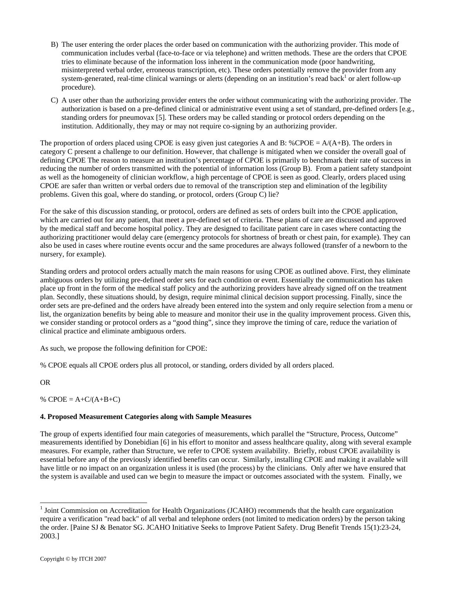- B) The user entering the order places the order based on communication with the authorizing provider. This mode of communication includes verbal (face-to-face or via telephone) and written methods. These are the orders that CPOE tries to eliminate because of the information loss inherent in the communication mode (poor handwriting, misinterpreted verbal order, erroneous transcription, etc). These orders potentially remove the provider from any system-generated, real-time clinical warnings or alerts (depending on an institution's read back<sup>1</sup> or alert follow-up procedure).
- C) A user other than the authorizing provider enters the order without communicating with the authorizing provider. The authorization is based on a pre-defined clinical or administrative event using a set of standard, pre-defined orders [e.g., standing orders for pneumovax [5]. These orders may be called standing or protocol orders depending on the institution. Additionally, they may or may not require co-signing by an authorizing provider.

The proportion of orders placed using CPOE is easy given just categories A and B: %CPOE =  $A/(A+B)$ . The orders in category C present a challenge to our definition. However, that challenge is mitigated when we consider the overall goal of defining CPOE The reason to measure an institution's percentage of CPOE is primarily to benchmark their rate of success in reducing the number of orders transmitted with the potential of information loss (Group B). From a patient safety standpoint as well as the homogeneity of clinician workflow, a high percentage of CPOE is seen as good. Clearly, orders placed using CPOE are safer than written or verbal orders due to removal of the transcription step and elimination of the legibility problems. Given this goal, where do standing, or protocol, orders (Group C) lie?

For the sake of this discussion standing, or protocol, orders are defined as sets of orders built into the CPOE application, which are carried out for any patient, that meet a pre-defined set of criteria. These plans of care are discussed and approved by the medical staff and become hospital policy. They are designed to facilitate patient care in cases where contacting the authorizing practitioner would delay care (emergency protocols for shortness of breath or chest pain, for example). They can also be used in cases where routine events occur and the same procedures are always followed (transfer of a newborn to the nursery, for example).

Standing orders and protocol orders actually match the main reasons for using CPOE as outlined above. First, they eliminate ambiguous orders by utilizing pre-defined order sets for each condition or event. Essentially the communication has taken place up front in the form of the medical staff policy and the authorizing providers have already signed off on the treatment plan. Secondly, these situations should, by design, require minimal clinical decision support processing. Finally, since the order sets are pre-defined and the orders have already been entered into the system and only require selection from a menu or list, the organization benefits by being able to measure and monitor their use in the quality improvement process. Given this, we consider standing or protocol orders as a "good thing", since they improve the timing of care, reduce the variation of clinical practice and eliminate ambiguous orders.

As such, we propose the following definition for CPOE:

% CPOE equals all CPOE orders plus all protocol, or standing, orders divided by all orders placed.

OR

-

%  $CPOE = A+C/(A+B+C)$ 

## **4. Proposed Measurement Categories along with Sample Measures**

The group of experts identified four main categories of measurements, which parallel the "Structure, Process, Outcome" measurements identified by Donebidian [6] in his effort to monitor and assess healthcare quality, along with several example measures. For example, rather than Structure, we refer to CPOE system availability. Briefly, robust CPOE availability is essential before any of the previously identified benefits can occur. Similarly, installing CPOE and making it available will have little or no impact on an organization unless it is used (the process) by the clinicians. Only after we have ensured that the system is available and used can we begin to measure the impact or outcomes associated with the system. Finally, we

<sup>&</sup>lt;sup>1</sup> Joint Commission on Accreditation for Health Organizations (JCAHO) recommends that the health care organization require a verification "read back" of all verbal and telephone orders (not limited to medication orders) by the person taking the order. [Paine SJ & Benator SG. JCAHO Initiative Seeks to Improve Patient Safety. Drug Benefit Trends 15(1):23-24, 2003.]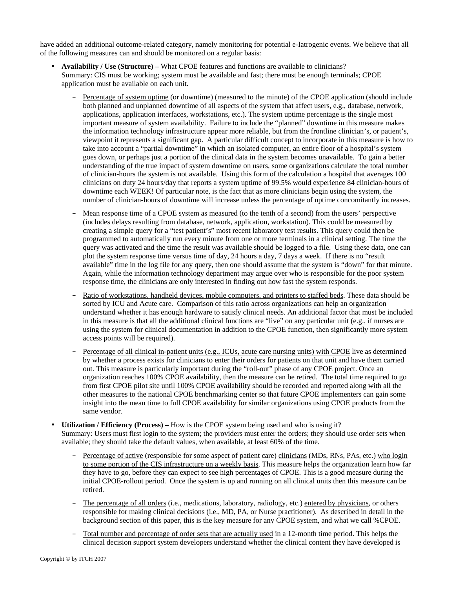have added an additional outcome-related category, namely monitoring for potential e-Iatrogenic events. We believe that all of the following measures can and should be monitored on a regular basis:

- **Availability / Use (Structure)** What CPOE features and functions are available to clinicians? Summary: CIS must be working; system must be available and fast; there must be enough terminals; CPOE application must be available on each unit.
	- Percentage of system uptime (or downtime) (measured to the minute) of the CPOE application (should include both planned and unplanned downtime of all aspects of the system that affect users, e.g., database, network, applications, application interfaces, workstations, etc.). The system uptime percentage is the single most important measure of system availability. Failure to include the "planned" downtime in this measure makes the information technology infrastructure appear more reliable, but from the frontline clinician's, or patient's, viewpoint it represents a significant gap. A particular difficult concept to incorporate in this measure is how to take into account a "partial downtime" in which an isolated computer, an entire floor of a hospital's system goes down, or perhaps just a portion of the clinical data in the system becomes unavailable. To gain a better understanding of the true impact of system downtime on users, some organizations calculate the total number of clinician-hours the system is not available. Using this form of the calculation a hospital that averages 100 clinicians on duty 24 hours/day that reports a system uptime of 99.5% would experience 84 clinician-hours of downtime each WEEK! Of particular note, is the fact that as more clinicians begin using the system, the number of clinician-hours of downtime will increase unless the percentage of uptime concomitantly increases.
	- Mean response time of a CPOE system as measured (to the tenth of a second) from the users' perspective (includes delays resulting from database, network, application, workstation). This could be measured by creating a simple query for a "test patient's" most recent laboratory test results. This query could then be programmed to automatically run every minute from one or more terminals in a clinical setting. The time the query was activated and the time the result was available should be logged to a file. Using these data, one can plot the system response time versus time of day, 24 hours a day, 7 days a week. If there is no "result available" time in the log file for any query, then one should assume that the system is "down" for that minute. Again, while the information technology department may argue over who is responsible for the poor system response time, the clinicians are only interested in finding out how fast the system responds.
	- Ratio of workstations, handheld devices, mobile computers, and printers to staffed beds. These data should be sorted by ICU and Acute care. Comparison of this ratio across organizations can help an organization understand whether it has enough hardware to satisfy clinical needs. An additional factor that must be included in this measure is that all the additional clinical functions are "live" on any particular unit (e.g., if nurses are using the system for clinical documentation in addition to the CPOE function, then significantly more system access points will be required).
	- Percentage of all clinical in-patient units (e.g., ICUs, acute care nursing units) with CPOE live as determined by whether a process exists for clinicians to enter their orders for patients on that unit and have them carried out. This measure is particularly important during the "roll-out" phase of any CPOE project. Once an organization reaches 100% CPOE availability, then the measure can be retired. The total time required to go from first CPOE pilot site until 100% CPOE availability should be recorded and reported along with all the other measures to the national CPOE benchmarking center so that future CPOE implementers can gain some insight into the mean time to full CPOE availability for similar organizations using CPOE products from the same vendor.
- **Utilization / Efficiency (Process)** How is the CPOE system being used and who is using it? Summary: Users must first login to the system; the providers must enter the orders; they should use order sets when available; they should take the default values, when available, at least 60% of the time.
	- Percentage of active (responsible for some aspect of patient care) clinicians (MDs, RNs, PAs, etc.) who login to some portion of the CIS infrastructure on a weekly basis. This measure helps the organization learn how far they have to go, before they can expect to see high percentages of CPOE. This is a good measure during the initial CPOE-rollout period. Once the system is up and running on all clinical units then this measure can be retired.
	- The percentage of all orders (i.e., medications, laboratory, radiology, etc.) entered by physicians, or others responsible for making clinical decisions (i.e., MD, PA, or Nurse practitioner). As described in detail in the background section of this paper, this is the key measure for any CPOE system, and what we call %CPOE.
	- Total number and percentage of order sets that are actually used in a 12-month time period. This helps the clinical decision support system developers understand whether the clinical content they have developed is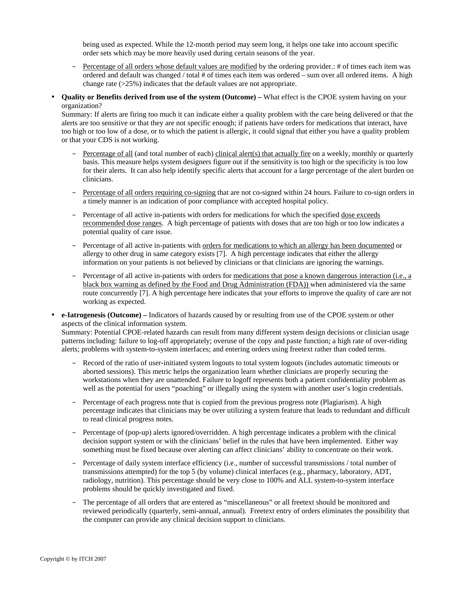being used as expected. While the 12-month period may seem long, it helps one take into account specific order sets which may be more heavily used during certain seasons of the year.

- Percentage of all orders whose default values are modified by the ordering provider.: # of times each item was ordered and default was changed / total # of times each item was ordered – sum over all ordered items. A high change rate (>25%) indicates that the default values are not appropriate.
- **Quality or Benefits derived from use of the system (Outcome)** What effect is the CPOE system having on your organization?

Summary: If alerts are firing too much it can indicate either a quality problem with the care being delivered or that the alerts are too sensitive or that they are not specific enough; if patients have orders for medications that interact, have too high or too low of a dose, or to which the patient is allergic, it could signal that either you have a quality problem or that your CDS is not working.

- Percentage of all (and total number of each) clinical alert(s) that actually fire on a weekly, monthly or quarterly basis. This measure helps system designers figure out if the sensitivity is too high or the specificity is too low for their alerts. It can also help identify specific alerts that account for a large percentage of the alert burden on clinicians.
- Percentage of all orders requiring co-signing that are not co-signed within 24 hours. Failure to co-sign orders in a timely manner is an indication of poor compliance with accepted hospital policy.
- Percentage of all active in-patients with orders for medications for which the specified dose exceeds recommended dose ranges. A high percentage of patients with doses that are too high or too low indicates a potential quality of care issue.
- Percentage of all active in-patients with orders for medications to which an allergy has been documented or allergy to other drug in same category exists [7]. A high percentage indicates that either the allergy information on your patients is not believed by clinicians or that clinicians are ignoring the warnings.
- Percentage of all active in-patients with orders for medications that pose a known dangerous interaction (i.e., a black box warning as defined by the Food and Drug Administration (FDA)) when administered via the same route concurrently [7]. A high percentage here indicates that your efforts to improve the quality of care are not working as expected.
- **e-Iatrogenesis (Outcome)** Indicators of hazards caused by or resulting from use of the CPOE system or other aspects of the clinical information system.

Summary: Potential CPOE-related hazards can result from many different system design decisions or clinician usage patterns including: failure to log-off appropriately; overuse of the copy and paste function; a high rate of over-riding alerts; problems with system-to-system interfaces; and entering orders using freetext rather than coded terms.

- Record of the ratio of user-initiated system logouts to total system logouts (includes automatic timeouts or aborted sessions). This metric helps the organization learn whether clinicians are properly securing the workstations when they are unattended. Failure to logoff represents both a patient confidentiality problem as well as the potential for users "poaching" or illegally using the system with another user's login credentials.
- Percentage of each progress note that is copied from the previous progress note (Plagiarism). A high percentage indicates that clinicians may be over utilizing a system feature that leads to redundant and difficult to read clinical progress notes.
- Percentage of (pop-up) alerts ignored/overridden. A high percentage indicates a problem with the clinical decision support system or with the clinicians' belief in the rules that have been implemented. Either way something must be fixed because over alerting can affect clinicians' ability to concentrate on their work.
- Percentage of daily system interface efficiency (i.e., number of successful transmissions / total number of transmissions attempted) for the top 5 (by volume) clinical interfaces (e.g., pharmacy, laboratory, ADT, radiology, nutrition). This percentage should be very close to 100% and ALL system-to-system interface problems should be quickly investigated and fixed.
- The percentage of all orders that are entered as "miscellaneous" or all freetext should be monitored and reviewed periodically (quarterly, semi-annual, annual). Freetext entry of orders eliminates the possibility that the computer can provide any clinical decision support to clinicians.